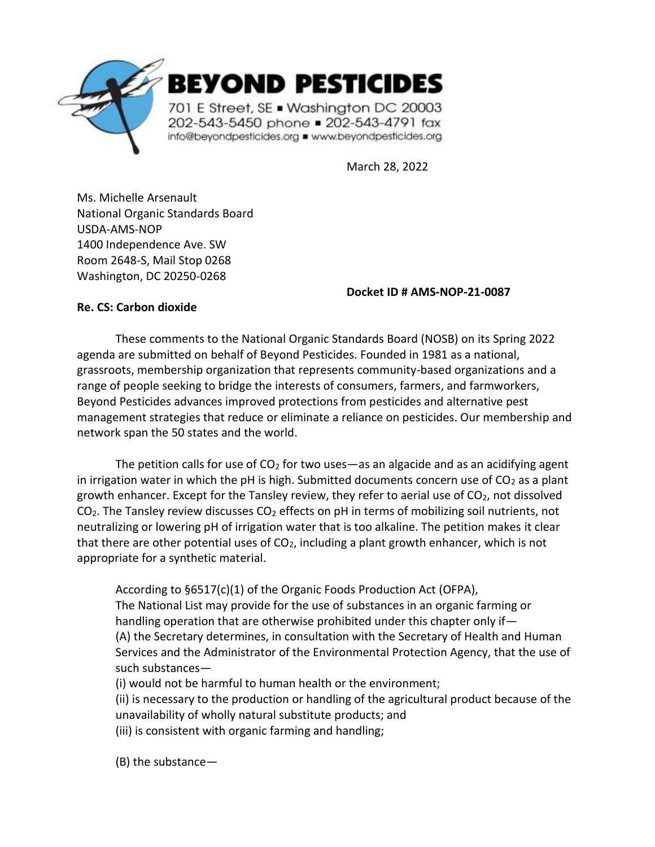

March 28, 2022

Ms. Michelle Arsenault National Organic Standards Board USDA-AMS-NOP 1400 Independence Ave. SW Room 2648-S, Mail Stop 0268 Washington, DC 20250-0268

#### **Docket ID # AMS-NOP-21-0087**

### **Re. CS: Carbon dioxide**

These comments to the National Organic Standards Board (NOSB) on its Spring 2022 agenda are submitted on behalf of Beyond Pesticides. Founded in 1981 as a national, grassroots, membership organization that represents community-based organizations and a range of people seeking to bridge the interests of consumers, farmers, and farmworkers, Beyond Pesticides advances improved protections from pesticides and alternative pest management strategies that reduce or eliminate a reliance on pesticides. Our membership and network span the 50 states and the world.

The petition calls for use of  $CO<sub>2</sub>$  for two uses—as an algacide and as an acidifying agent in irrigation water in which the pH is high. Submitted documents concern use of  $CO<sub>2</sub>$  as a plant growth enhancer. Except for the Tansley review, they refer to aerial use of  $CO<sub>2</sub>$ , not dissolved  $CO<sub>2</sub>$ . The Tansley review discusses  $CO<sub>2</sub>$  effects on pH in terms of mobilizing soil nutrients, not neutralizing or lowering pH of irrigation water that is too alkaline. The petition makes it clear that there are other potential uses of  $CO<sub>2</sub>$ , including a plant growth enhancer, which is not appropriate for a synthetic material.

According to §6517(c)(1) of the Organic Foods Production Act (OFPA),

The National List may provide for the use of substances in an organic farming or handling operation that are otherwise prohibited under this chapter only if— (A) the Secretary determines, in consultation with the Secretary of Health and Human Services and the Administrator of the Environmental Protection Agency, that the use of such substances—

(i) would not be harmful to human health or the environment;

(ii) is necessary to the production or handling of the agricultural product because of the unavailability of wholly natural substitute products; and

(iii) is consistent with organic farming and handling;

(B) the substance—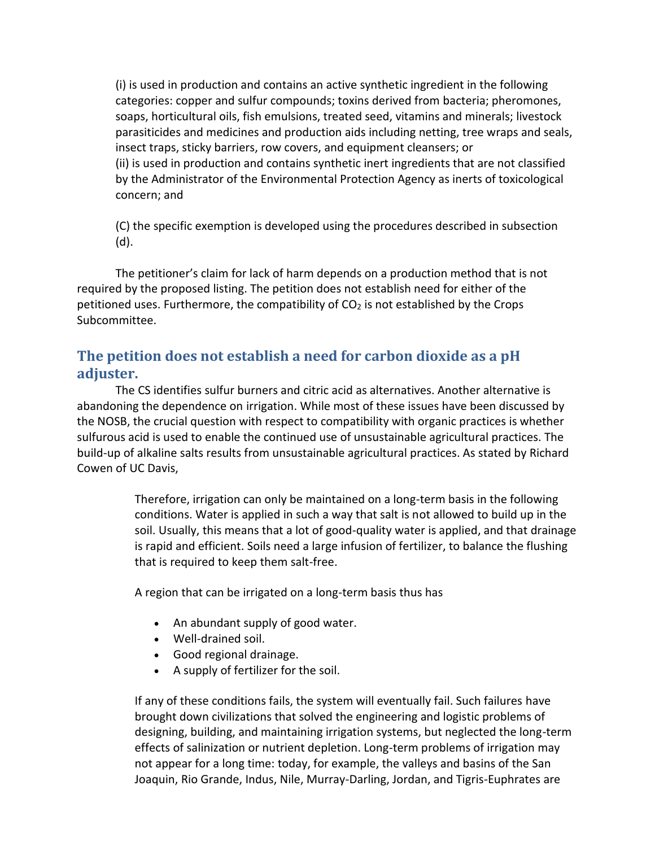(i) is used in production and contains an active synthetic ingredient in the following categories: copper and sulfur compounds; toxins derived from bacteria; pheromones, soaps, horticultural oils, fish emulsions, treated seed, vitamins and minerals; livestock parasiticides and medicines and production aids including netting, tree wraps and seals, insect traps, sticky barriers, row covers, and equipment cleansers; or (ii) is used in production and contains synthetic inert ingredients that are not classified by the Administrator of the Environmental Protection Agency as inerts of toxicological concern; and

(C) the specific exemption is developed using the procedures described in subsection (d).

The petitioner's claim for lack of harm depends on a production method that is not required by the proposed listing. The petition does not establish need for either of the petitioned uses. Furthermore, the compatibility of  $CO<sub>2</sub>$  is not established by the Crops Subcommittee.

# **The petition does not establish a need for carbon dioxide as a pH adjuster.**

The CS identifies sulfur burners and citric acid as alternatives. Another alternative is abandoning the dependence on irrigation. While most of these issues have been discussed by the NOSB, the crucial question with respect to compatibility with organic practices is whether sulfurous acid is used to enable the continued use of unsustainable agricultural practices. The build-up of alkaline salts results from unsustainable agricultural practices. As stated by Richard Cowen of UC Davis,

> Therefore, irrigation can only be maintained on a long-term basis in the following conditions. Water is applied in such a way that salt is not allowed to build up in the soil. Usually, this means that a lot of good-quality water is applied, and that drainage is rapid and efficient. Soils need a large infusion of fertilizer, to balance the flushing that is required to keep them salt-free.

A region that can be irrigated on a long-term basis thus has

- An abundant supply of good water.
- Well-drained soil.
- Good regional drainage.
- A supply of fertilizer for the soil.

If any of these conditions fails, the system will eventually fail. Such failures have brought down civilizations that solved the engineering and logistic problems of designing, building, and maintaining irrigation systems, but neglected the long-term effects of salinization or nutrient depletion. Long-term problems of irrigation may not appear for a long time: today, for example, the valleys and basins of the San Joaquin, Rio Grande, Indus, Nile, Murray-Darling, Jordan, and Tigris-Euphrates are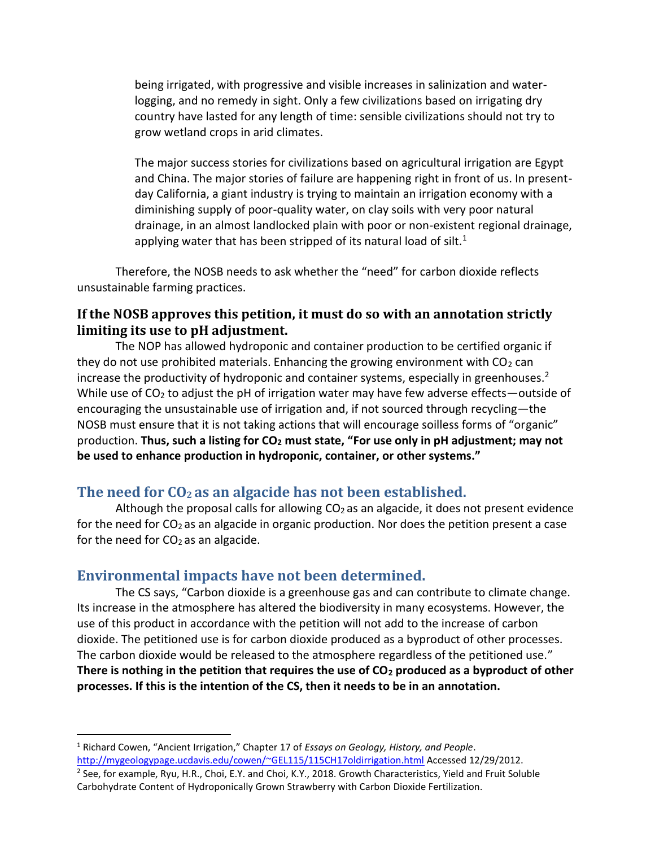being irrigated, with progressive and visible increases in salinization and waterlogging, and no remedy in sight. Only a few civilizations based on irrigating dry country have lasted for any length of time: sensible civilizations should not try to grow wetland crops in arid climates.

The major success stories for civilizations based on agricultural irrigation are Egypt and China. The major stories of failure are happening right in front of us. In presentday California, a giant industry is trying to maintain an irrigation economy with a diminishing supply of poor-quality water, on clay soils with very poor natural drainage, in an almost landlocked plain with poor or non-existent regional drainage, applying water that has been stripped of its natural load of silt. $1$ 

Therefore, the NOSB needs to ask whether the "need" for carbon dioxide reflects unsustainable farming practices.

## **If the NOSB approves this petition, it must do so with an annotation strictly limiting its use to pH adjustment.**

The NOP has allowed hydroponic and container production to be certified organic if they do not use prohibited materials. Enhancing the growing environment with  $CO<sub>2</sub>$  can increase the productivity of hydroponic and container systems, especially in greenhouses. $2$ While use of  $CO<sub>2</sub>$  to adjust the pH of irrigation water may have few adverse effects—outside of encouraging the unsustainable use of irrigation and, if not sourced through recycling—the NOSB must ensure that it is not taking actions that will encourage soilless forms of "organic" production. **Thus, such a listing for CO<sup>2</sup> must state, "For use only in pH adjustment; may not be used to enhance production in hydroponic, container, or other systems."**

### **The need for CO<sup>2</sup> as an algacide has not been established.**

Although the proposal calls for allowing  $CO<sub>2</sub>$  as an algacide, it does not present evidence for the need for  $CO<sub>2</sub>$  as an algacide in organic production. Nor does the petition present a case for the need for  $CO<sub>2</sub>$  as an algacide.

### **Environmental impacts have not been determined.**

The CS says, "Carbon dioxide is a greenhouse gas and can contribute to climate change. Its increase in the atmosphere has altered the biodiversity in many ecosystems. However, the use of this product in accordance with the petition will not add to the increase of carbon dioxide. The petitioned use is for carbon dioxide produced as a byproduct of other processes. The carbon dioxide would be released to the atmosphere regardless of the petitioned use." **There is nothing in the petition that requires the use of CO<sup>2</sup> produced as a byproduct of other processes. If this is the intention of the CS, then it needs to be in an annotation.**

<sup>1</sup> Richard Cowen, "Ancient Irrigation," Chapter 17 of *Essays on Geology, History, and People*. <http://mygeologypage.ucdavis.edu/cowen/~GEL115/115CH17oldirrigation.html> Accessed 12/29/2012.

<sup>&</sup>lt;sup>2</sup> See, for example, Ryu, H.R., Choi, E.Y. and Choi, K.Y., 2018. Growth Characteristics, Yield and Fruit Soluble Carbohydrate Content of Hydroponically Grown Strawberry with Carbon Dioxide Fertilization.